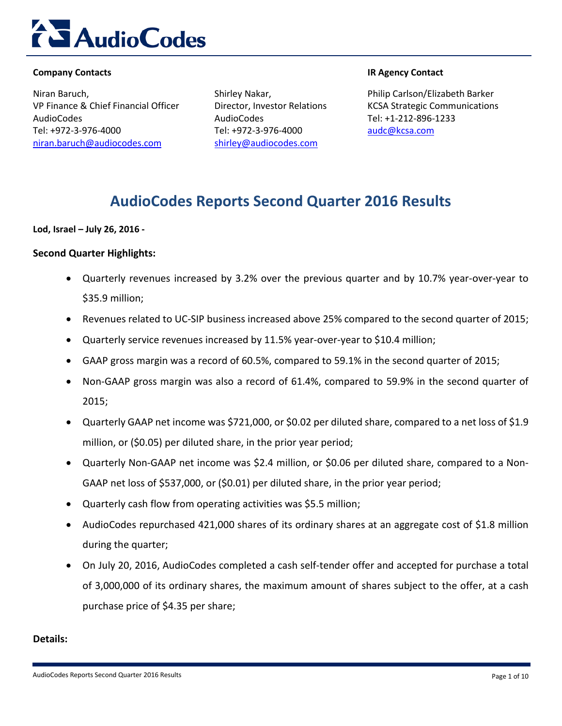

#### **Company Contacts IR Agency Contact**

Niran Baruch, VP Finance & Chief Financial Officer AudioCodes Tel: +972-3-976-4000 [niran.baruch@audiocodes.com](mailto:niran.baruch@audiocodes.com)

Shirley Nakar, Director, Investor Relations AudioCodes Tel: +972-3-976-4000 [shirley@audiocodes.com](mailto:shirley@audiocodes.com)

Philip Carlson/Elizabeth Barker KCSA Strategic Communications Tel: +1-212-896-1233 [audc@kcsa.com](mailto:audc@kcsa.com)

### **AudioCodes Reports Second Quarter 2016 Results**

**Lod, Israel – July 26, 2016 -**

#### **Second Quarter Highlights:**

- Quarterly revenues increased by 3.2% over the previous quarter and by 10.7% year-over-year to \$35.9 million;
- Revenues related to UC-SIP business increased above 25% compared to the second quarter of 2015;
- Quarterly service revenues increased by 11.5% year-over-year to \$10.4 million;
- GAAP gross margin was a record of 60.5%, compared to 59.1% in the second quarter of 2015;
- Non-GAAP gross margin was also a record of 61.4%, compared to 59.9% in the second quarter of 2015;
- Quarterly GAAP net income was \$721,000, or \$0.02 per diluted share, compared to a net loss of \$1.9 million, or (\$0.05) per diluted share, in the prior year period;
- Quarterly Non-GAAP net income was \$2.4 million, or \$0.06 per diluted share, compared to a Non-GAAP net loss of \$537,000, or (\$0.01) per diluted share, in the prior year period;
- Quarterly cash flow from operating activities was \$5.5 million;
- AudioCodes repurchased 421,000 shares of its ordinary shares at an aggregate cost of \$1.8 million during the quarter;
- On July 20, 2016, AudioCodes completed a cash self-tender offer and accepted for purchase a total of 3,000,000 of its ordinary shares, the maximum amount of shares subject to the offer, at a cash purchase price of \$4.35 per share;

#### **Details:**

AudioCodes Reports Second Quarter 2016 Results **Page 1 of 10** and 2016 Results **Page 1 of 10**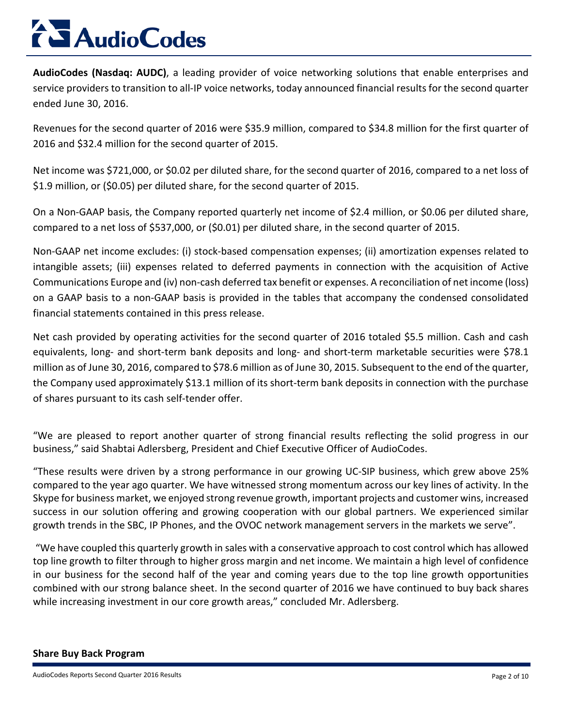**AudioCodes (Nasdaq: AUDC)**, a leading provider of voice networking solutions that enable enterprises and service providers to transition to all-IP voice networks, today announced financial results for the second quarter ended June 30, 2016.

Revenues for the second quarter of 2016 were \$35.9 million, compared to \$34.8 million for the first quarter of 2016 and \$32.4 million for the second quarter of 2015.

Net income was \$721,000, or \$0.02 per diluted share, for the second quarter of 2016, compared to a net loss of \$1.9 million, or (\$0.05) per diluted share, for the second quarter of 2015.

On a Non-GAAP basis, the Company reported quarterly net income of \$2.4 million, or \$0.06 per diluted share, compared to a net loss of \$537,000, or (\$0.01) per diluted share, in the second quarter of 2015.

Non-GAAP net income excludes: (i) stock-based compensation expenses; (ii) amortization expenses related to intangible assets; (iii) expenses related to deferred payments in connection with the acquisition of Active Communications Europe and (iv) non-cash deferred tax benefit or expenses. A reconciliation of net income (loss) on a GAAP basis to a non-GAAP basis is provided in the tables that accompany the condensed consolidated financial statements contained in this press release.

Net cash provided by operating activities for the second quarter of 2016 totaled \$5.5 million. Cash and cash equivalents, long- and short-term bank deposits and long- and short-term marketable securities were \$78.1 million as of June 30, 2016, compared to \$78.6 million as of June 30, 2015. Subsequent to the end of the quarter, the Company used approximately \$13.1 million of its short-term bank deposits in connection with the purchase of shares pursuant to its cash self-tender offer.

"We are pleased to report another quarter of strong financial results reflecting the solid progress in our business," said Shabtai Adlersberg, President and Chief Executive Officer of AudioCodes.

"These results were driven by a strong performance in our growing UC-SIP business, which grew above 25% compared to the year ago quarter. We have witnessed strong momentum across our key lines of activity. In the Skype for business market, we enjoyed strong revenue growth, important projects and customer wins, increased success in our solution offering and growing cooperation with our global partners. We experienced similar growth trends in the SBC, IP Phones, and the OVOC network management servers in the markets we serve".

"We have coupled this quarterly growth in sales with a conservative approach to cost control which has allowed top line growth to filter through to higher gross margin and net income. We maintain a high level of confidence in our business for the second half of the year and coming years due to the top line growth opportunities combined with our strong balance sheet. In the second quarter of 2016 we have continued to buy back shares while increasing investment in our core growth areas," concluded Mr. Adlersberg.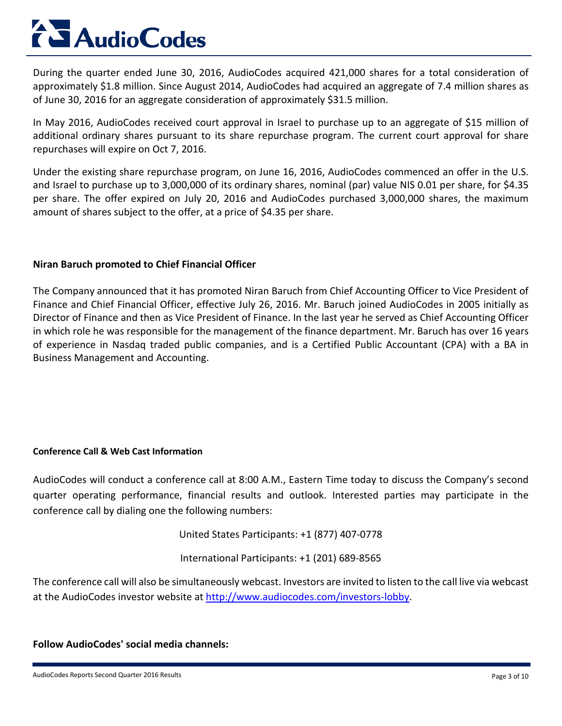During the quarter ended June 30, 2016, AudioCodes acquired 421,000 shares for a total consideration of approximately \$1.8 million. Since August 2014, AudioCodes had acquired an aggregate of 7.4 million shares as of June 30, 2016 for an aggregate consideration of approximately \$31.5 million.

In May 2016, AudioCodes received court approval in Israel to purchase up to an aggregate of \$15 million of additional ordinary shares pursuant to its share repurchase program. The current court approval for share repurchases will expire on Oct 7, 2016.

Under the existing share repurchase program, on June 16, 2016, AudioCodes commenced an offer in the U.S. and Israel to purchase up to 3,000,000 of its ordinary shares, nominal (par) value NIS 0.01 per share, for \$4.35 per share. The offer expired on July 20, 2016 and AudioCodes purchased 3,000,000 shares, the maximum amount of shares subject to the offer, at a price of \$4.35 per share.

#### **Niran Baruch promoted to Chief Financial Officer**

The Company announced that it has promoted Niran Baruch from Chief Accounting Officer to Vice President of Finance and Chief Financial Officer, effective July 26, 2016. Mr. Baruch joined AudioCodes in 2005 initially as Director of Finance and then as Vice President of Finance. In the last year he served as Chief Accounting Officer in which role he was responsible for the management of the finance department. Mr. Baruch has over 16 years of experience in Nasdaq traded public companies, and is a Certified Public Accountant (CPA) with a BA in Business Management and Accounting.

#### **Conference Call & Web Cast Information**

AudioCodes will conduct a conference call at 8:00 A.M., Eastern Time today to discuss the Company's second quarter operating performance, financial results and outlook. Interested parties may participate in the conference call by dialing one the following numbers:

United States Participants: +1 (877) 407-0778

International Participants: +1 (201) 689-8565

The conference call will also be simultaneously webcast. Investors are invited to listen to the call live via webcast at the AudioCodes investor website at [http://www.audiocodes.com/investors-lobby.](http://www.audiocodes.com/investors-lobby)

#### **Follow AudioCodes' social media channels:**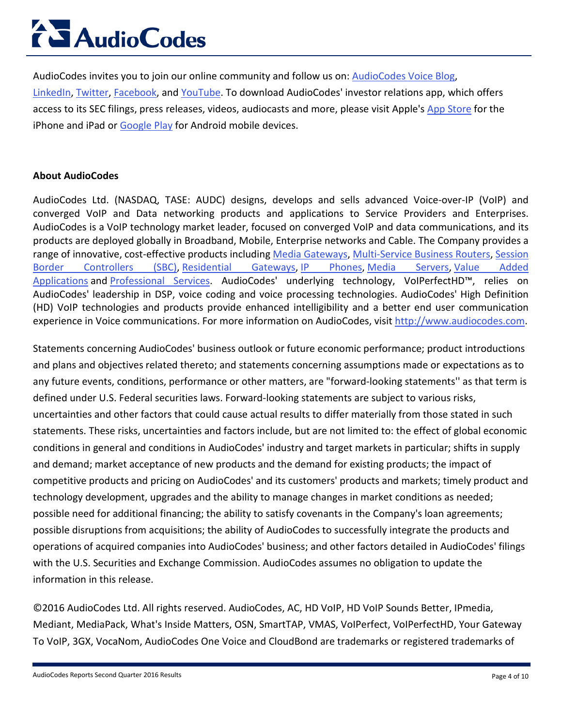AudioCodes invites you to join our online community and follow us on: [AudioCodes Voice Blog,](http://blog.audiocodes.com/) [LinkedIn,](https://www.linkedin.com/company/audiocodes) [Twitter,](https://twitter.com/audiocodes) [Facebook,](https://www.facebook.com/audiocodes) and [YouTube.](http://www.youtube.com/user/audioserge) To download AudioCodes' investor relations app, which offers access to its SEC filings, press releases, videos, audiocasts and more, please visit Apple's [App Store](https://itunes.apple.com/us/app/audiocodes-ir/id901419054?ls=1&mt=8) for the iPhone and iPad or [Google Play](https://play.google.com/store/apps/details?id=com.theirapp.audiocodes&hl=en) for Android mobile devices.

#### **About AudioCodes**

AudioCodes Ltd. (NASDAQ, TASE: AUDC) designs, develops and sells advanced Voice-over-IP (VoIP) and converged VoIP and Data networking products and applications to Service Providers and Enterprises. AudioCodes is a VoIP technology market leader, focused on converged VoIP and data communications, and its products are deployed globally in Broadband, Mobile, Enterprise networks and Cable. The Company provides a range of innovative, cost-effective products including [Media Gateways,](http://www.audiocodes.com/session-border-controller-sbc) [Multi-Service Business Routers,](http://www.audiocodes.com/multi-service-business-router-msbr) [Session](http://www.audiocodes.com/session-border-controller-sbc)  [Border Controllers \(SBC\),](http://www.audiocodes.com/session-border-controller-sbc) [Residential Gateways,](http://www.audiocodes.com/soho-routers) [IP Phones,](http://www.audiocodes.com/ipphones) [Media Servers,](http://www.audiocodes.com/mediaservers) [Value Added](http://www.audiocodes.com/products/microsoft-skype-for-business-application)  [Applications](http://www.audiocodes.com/products/microsoft-skype-for-business-application) and [Professional Services.](http://www.audiocodes.com/professional-services) AudioCodes' underlying technology, VoIPerfectHD™, relies on AudioCodes' leadership in DSP, voice coding and voice processing technologies. AudioCodes' High Definition (HD) VoIP technologies and products provide enhanced intelligibility and a better end user communication experience in Voice communications. For more information on AudioCodes, visit [http://www.audiocodes.com.](http://www.audiocodes.com/)

Statements concerning AudioCodes' business outlook or future economic performance; product introductions and plans and objectives related thereto; and statements concerning assumptions made or expectations as to any future events, conditions, performance or other matters, are "forward-looking statements'' as that term is defined under U.S. Federal securities laws. Forward-looking statements are subject to various risks, uncertainties and other factors that could cause actual results to differ materially from those stated in such statements. These risks, uncertainties and factors include, but are not limited to: the effect of global economic conditions in general and conditions in AudioCodes' industry and target markets in particular; shifts in supply and demand; market acceptance of new products and the demand for existing products; the impact of competitive products and pricing on AudioCodes' and its customers' products and markets; timely product and technology development, upgrades and the ability to manage changes in market conditions as needed; possible need for additional financing; the ability to satisfy covenants in the Company's loan agreements; possible disruptions from acquisitions; the ability of AudioCodes to successfully integrate the products and operations of acquired companies into AudioCodes' business; and other factors detailed in AudioCodes' filings with the U.S. Securities and Exchange Commission. AudioCodes assumes no obligation to update the information in this release.

©2016 AudioCodes Ltd. All rights reserved. AudioCodes, AC, HD VoIP, HD VoIP Sounds Better, IPmedia, Mediant, MediaPack, What's Inside Matters, OSN, SmartTAP, VMAS, VoIPerfect, VoIPerfectHD, Your Gateway To VoIP, 3GX, VocaNom, AudioCodes One Voice and CloudBond are trademarks or registered trademarks of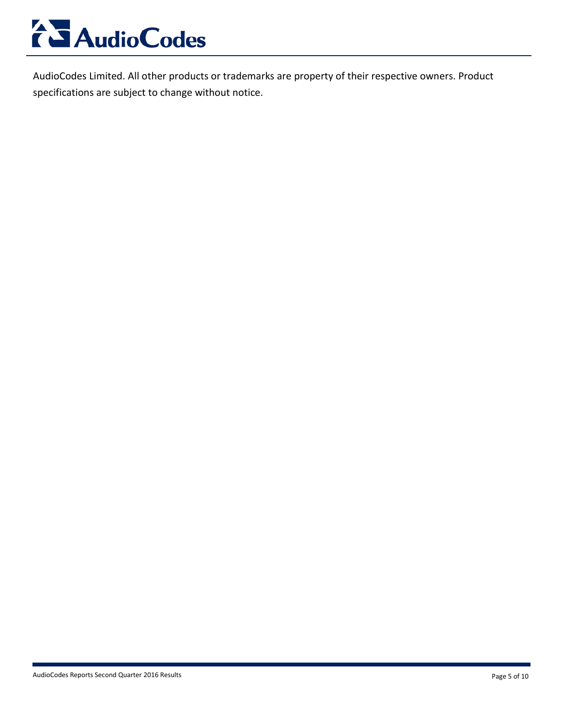

AudioCodes Limited. All other products or trademarks are property of their respective owners. Product specifications are subject to change without notice.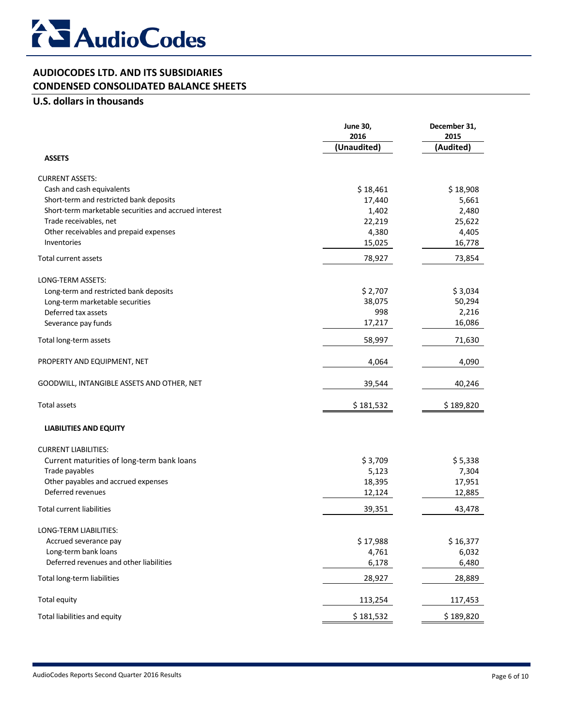

#### **AUDIOCODES LTD. AND ITS SUBSIDIARIES CONDENSED CONSOLIDATED BALANCE SHEETS**

#### **U.S. dollars in thousands**

|                                                       | <b>June 30,</b><br>2016<br>(Unaudited) | December 31,<br>2015<br>(Audited) |
|-------------------------------------------------------|----------------------------------------|-----------------------------------|
| <b>ASSETS</b>                                         |                                        |                                   |
| <b>CURRENT ASSETS:</b>                                |                                        |                                   |
| Cash and cash equivalents                             | \$18,461                               | \$18,908                          |
| Short-term and restricted bank deposits               | 17,440                                 | 5,661                             |
| Short-term marketable securities and accrued interest | 1,402                                  | 2,480                             |
| Trade receivables, net                                | 22,219                                 | 25,622                            |
| Other receivables and prepaid expenses                | 4,380                                  | 4,405                             |
| Inventories                                           | 15,025                                 | 16,778                            |
| Total current assets                                  | 78,927                                 | 73,854                            |
| LONG-TERM ASSETS:                                     |                                        |                                   |
| Long-term and restricted bank deposits                | \$2,707                                | \$3,034                           |
| Long-term marketable securities                       | 38,075                                 | 50,294                            |
| Deferred tax assets                                   | 998                                    | 2,216                             |
| Severance pay funds                                   | 17,217                                 | 16,086                            |
| Total long-term assets                                | 58,997                                 | 71,630                            |
| PROPERTY AND EQUIPMENT, NET                           | 4,064                                  | 4,090                             |
| GOODWILL, INTANGIBLE ASSETS AND OTHER, NET            | 39,544                                 | 40,246                            |
| <b>Total assets</b>                                   | \$181,532                              | \$189,820                         |
| <b>LIABILITIES AND EQUITY</b>                         |                                        |                                   |
| <b>CURRENT LIABILITIES:</b>                           |                                        |                                   |
| Current maturities of long-term bank loans            | \$3,709                                | \$5,338                           |
| Trade payables                                        | 5,123                                  | 7,304                             |
| Other payables and accrued expenses                   | 18,395                                 | 17,951                            |
| Deferred revenues                                     | 12,124                                 | 12,885                            |
| <b>Total current liabilities</b>                      | 39,351                                 | 43,478                            |
| LONG-TERM LIABILITIES:                                |                                        |                                   |
| Accrued severance pay                                 | \$17,988                               | \$16,377                          |
| Long-term bank loans                                  | 4,761                                  | 6,032                             |
| Deferred revenues and other liabilities               | 6,178                                  | 6,480                             |
| Total long-term liabilities                           | 28,927                                 | 28,889                            |
| <b>Total equity</b>                                   | 113,254                                | 117,453                           |
| Total liabilities and equity                          | \$181,532                              | \$189,820                         |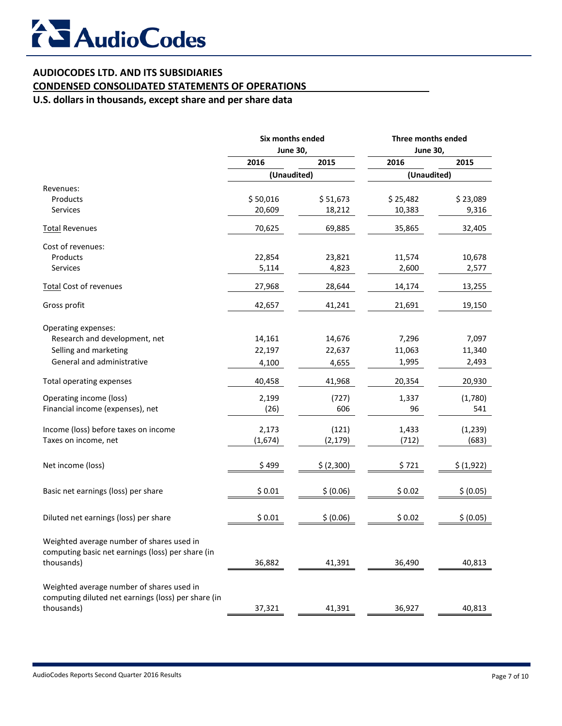### **AUDIOCODES LTD. AND ITS SUBSIDIARIES**

### **CONDENSED CONSOLIDATED STATEMENTS OF OPERATIONS**

**U.S. dollars in thousands, except share and per share data**

|                                                                                                | Six months ended<br><b>June 30,</b> |            | Three months ended<br><b>June 30,</b> |            |
|------------------------------------------------------------------------------------------------|-------------------------------------|------------|---------------------------------------|------------|
|                                                                                                |                                     |            |                                       |            |
|                                                                                                | 2016                                | 2015       | 2016                                  | 2015       |
|                                                                                                | (Unaudited)                         |            | (Unaudited)                           |            |
| Revenues:                                                                                      |                                     |            |                                       |            |
| Products                                                                                       | \$50,016                            | \$51,673   | \$25,482                              | \$23,089   |
| Services                                                                                       | 20,609                              | 18,212     | 10,383                                | 9,316      |
| <b>Total Revenues</b>                                                                          | 70,625                              | 69,885     | 35,865                                | 32,405     |
| Cost of revenues:                                                                              |                                     |            |                                       |            |
| Products                                                                                       | 22,854                              | 23,821     | 11,574                                | 10,678     |
| <b>Services</b>                                                                                | 5,114                               | 4,823      | 2,600                                 | 2,577      |
| <b>Total Cost of revenues</b>                                                                  | 27,968                              | 28,644     | 14,174                                | 13,255     |
| Gross profit                                                                                   | 42,657                              | 41,241     | 21,691                                | 19,150     |
| Operating expenses:                                                                            |                                     |            |                                       |            |
| Research and development, net                                                                  | 14,161                              | 14,676     | 7,296                                 | 7,097      |
| Selling and marketing                                                                          | 22,197                              | 22,637     | 11,063                                | 11,340     |
| General and administrative                                                                     | 4,100                               | 4,655      | 1,995                                 | 2,493      |
| Total operating expenses                                                                       | 40,458                              | 41,968     | 20,354                                | 20,930     |
| Operating income (loss)                                                                        | 2,199                               | (727)      | 1,337                                 | (1,780)    |
| Financial income (expenses), net                                                               | (26)                                | 606        | 96                                    | 541        |
|                                                                                                |                                     |            |                                       |            |
| Income (loss) before taxes on income                                                           | 2,173                               | (121)      | 1,433                                 | (1, 239)   |
| Taxes on income, net                                                                           | (1,674)                             | (2, 179)   | (712)                                 | (683)      |
| Net income (loss)                                                                              | \$499                               | \$ (2,300) | \$721                                 | \$ (1,922) |
| Basic net earnings (loss) per share                                                            | \$0.01                              | \$ (0.06)  | \$0.02                                | \$ (0.05)  |
|                                                                                                |                                     |            |                                       |            |
| Diluted net earnings (loss) per share                                                          | \$0.01                              | \$ (0.06)  | \$0.02                                | \$ (0.05)  |
| Weighted average number of shares used in<br>computing basic net earnings (loss) per share (in |                                     |            |                                       |            |
| thousands)                                                                                     | 36,882                              | 41,391     | 36,490                                | 40,813     |
| Weighted average number of shares used in                                                      |                                     |            |                                       |            |
| computing diluted net earnings (loss) per share (in                                            |                                     |            |                                       |            |
| thousands)                                                                                     | 37,321                              | 41,391     | 36,927                                | 40,813     |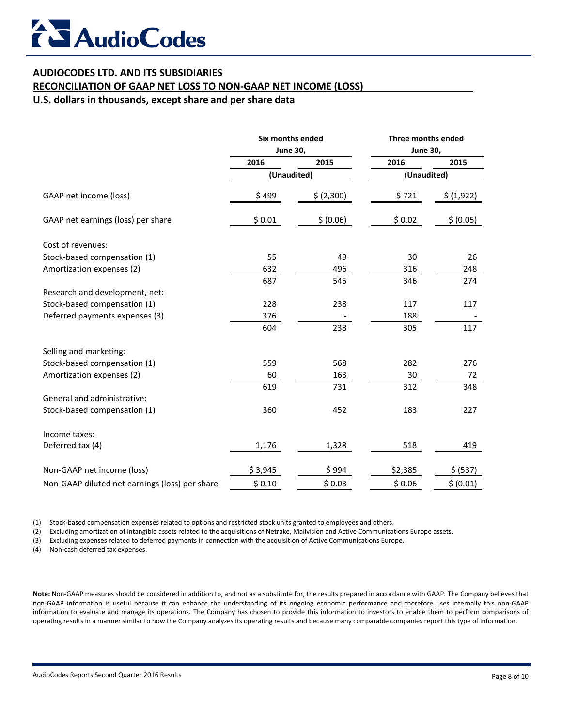### **AUDIOCODES LTD. AND ITS SUBSIDIARIES**

#### **RECONCILIATION OF GAAP NET LOSS TO NON-GAAP NET INCOME (LOSS)**

**U.S. dollars in thousands, except share and per share data**

|                                                | Six months ended<br><b>June 30,</b> |            | Three months ended<br><b>June 30,</b> |            |
|------------------------------------------------|-------------------------------------|------------|---------------------------------------|------------|
|                                                |                                     |            |                                       |            |
|                                                | 2016                                | 2015       | 2016                                  | 2015       |
|                                                | (Unaudited)                         |            | (Unaudited)                           |            |
| GAAP net income (loss)                         | \$499                               | \$ (2,300) | \$721                                 | \$ (1,922) |
| GAAP net earnings (loss) per share             | \$0.01                              | \$ (0.06)  | \$0.02                                | \$ (0.05)  |
| Cost of revenues:                              |                                     |            |                                       |            |
| Stock-based compensation (1)                   | 55                                  | 49         | 30                                    | 26         |
| Amortization expenses (2)                      | 632                                 | 496        | 316                                   | 248        |
|                                                | 687                                 | 545        | 346                                   | 274        |
| Research and development, net:                 |                                     |            |                                       |            |
| Stock-based compensation (1)                   | 228                                 | 238        | 117                                   | 117        |
| Deferred payments expenses (3)                 | 376                                 |            | 188                                   |            |
|                                                | 604                                 | 238        | 305                                   | 117        |
| Selling and marketing:                         |                                     |            |                                       |            |
| Stock-based compensation (1)                   | 559                                 | 568        | 282                                   | 276        |
| Amortization expenses (2)                      | 60                                  | 163        | 30                                    | 72         |
|                                                | 619                                 | 731        | 312                                   | 348        |
| General and administrative:                    |                                     |            |                                       |            |
| Stock-based compensation (1)                   | 360                                 | 452        | 183                                   | 227        |
| Income taxes:                                  |                                     |            |                                       |            |
| Deferred tax (4)                               | 1,176                               | 1,328      | 518                                   | 419        |
| Non-GAAP net income (loss)                     | \$3,945                             | \$994      | \$2,385                               | \$ (537)   |
| Non-GAAP diluted net earnings (loss) per share | \$0.10                              | \$0.03     | \$0.06                                | \$ (0.01)  |

(1) Stock-based compensation expenses related to options and restricted stock units granted to employees and others.

(2) Excluding amortization of intangible assets related to the acquisitions of Netrake, Mailvision and Active Communications Europe assets.

(3) Excluding expenses related to deferred payments in connection with the acquisition of Active Communications Europe.

(4) Non-cash deferred tax expenses.

**Note:** Non-GAAP measures should be considered in addition to, and not as a substitute for, the results prepared in accordance with GAAP. The Company believes that non-GAAP information is useful because it can enhance the understanding of its ongoing economic performance and therefore uses internally this non-GAAP information to evaluate and manage its operations. The Company has chosen to provide this information to investors to enable them to perform comparisons of operating results in a manner similar to how the Company analyzes its operating results and because many comparable companies report this type of information.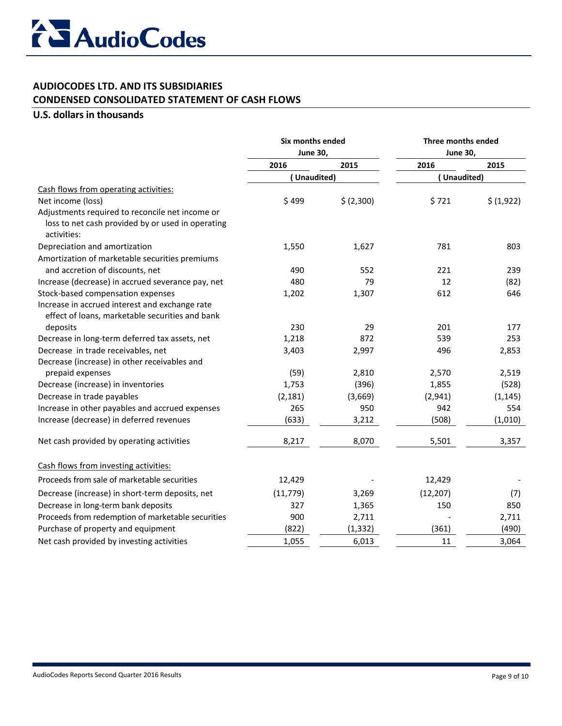### **AUDIOCODES LTD. AND ITS SUBSIDIARIES CONDENSED CONSOLIDATED STATEMENT OF CASH FLOWS**

#### **U.S. dollars in thousands**

|                                                                                                                     | Six months ended<br><b>June 30,</b> |            | Three months ended<br><b>June 30,</b> |            |
|---------------------------------------------------------------------------------------------------------------------|-------------------------------------|------------|---------------------------------------|------------|
|                                                                                                                     |                                     |            |                                       |            |
|                                                                                                                     | 2016                                | 2015       | 2016                                  | 2015       |
|                                                                                                                     | (Unaudited)                         |            | (Unaudited)                           |            |
| Cash flows from operating activities:                                                                               |                                     |            |                                       |            |
| Net income (loss)                                                                                                   | \$499                               | \$ (2,300) | \$721                                 | \$ (1,922) |
| Adjustments required to reconcile net income or<br>loss to net cash provided by or used in operating<br>activities: |                                     |            |                                       |            |
| Depreciation and amortization                                                                                       | 1,550                               | 1,627      | 781                                   | 803        |
| Amortization of marketable securities premiums                                                                      |                                     |            |                                       |            |
| and accretion of discounts, net                                                                                     | 490                                 | 552        | 221                                   | 239        |
| Increase (decrease) in accrued severance pay, net                                                                   | 480                                 | 79         | 12                                    | (82)       |
| Stock-based compensation expenses                                                                                   | 1,202                               | 1,307      | 612                                   | 646        |
| Increase in accrued interest and exchange rate                                                                      |                                     |            |                                       |            |
| effect of loans, marketable securities and bank                                                                     |                                     |            |                                       |            |
| deposits                                                                                                            | 230                                 | 29         | 201                                   | 177        |
| Decrease in long-term deferred tax assets, net                                                                      | 1,218                               | 872        | 539                                   | 253        |
| Decrease in trade receivables, net                                                                                  | 3,403                               | 2,997      | 496                                   | 2,853      |
| Decrease (increase) in other receivables and                                                                        |                                     |            |                                       |            |
| prepaid expenses                                                                                                    | (59)                                | 2,810      | 2,570                                 | 2,519      |
| Decrease (increase) in inventories                                                                                  | 1,753                               | (396)      | 1,855                                 | (528)      |
| Decrease in trade payables                                                                                          | (2, 181)                            | (3,669)    | (2,941)                               | (1, 145)   |
| Increase in other payables and accrued expenses                                                                     | 265                                 | 950        | 942                                   | 554        |
| Increase (decrease) in deferred revenues                                                                            | (633)                               | 3,212      | (508)                                 | (1,010)    |
| Net cash provided by operating activities                                                                           | 8,217                               | 8,070      | 5,501                                 | 3,357      |
| Cash flows from investing activities:                                                                               |                                     |            |                                       |            |
| Proceeds from sale of marketable securities                                                                         | 12,429                              |            | 12,429                                |            |
| Decrease (increase) in short-term deposits, net                                                                     | (11, 779)                           | 3,269      | (12, 207)                             | (7)        |
| Decrease in long-term bank deposits                                                                                 | 327                                 | 1,365      | 150                                   | 850        |
| Proceeds from redemption of marketable securities                                                                   | 900                                 | 2,711      |                                       | 2,711      |
| Purchase of property and equipment                                                                                  | (822)                               | (1, 332)   | (361)                                 | (490)      |
| Net cash provided by investing activities                                                                           | 1,055                               | 6,013      | 11                                    | 3,064      |